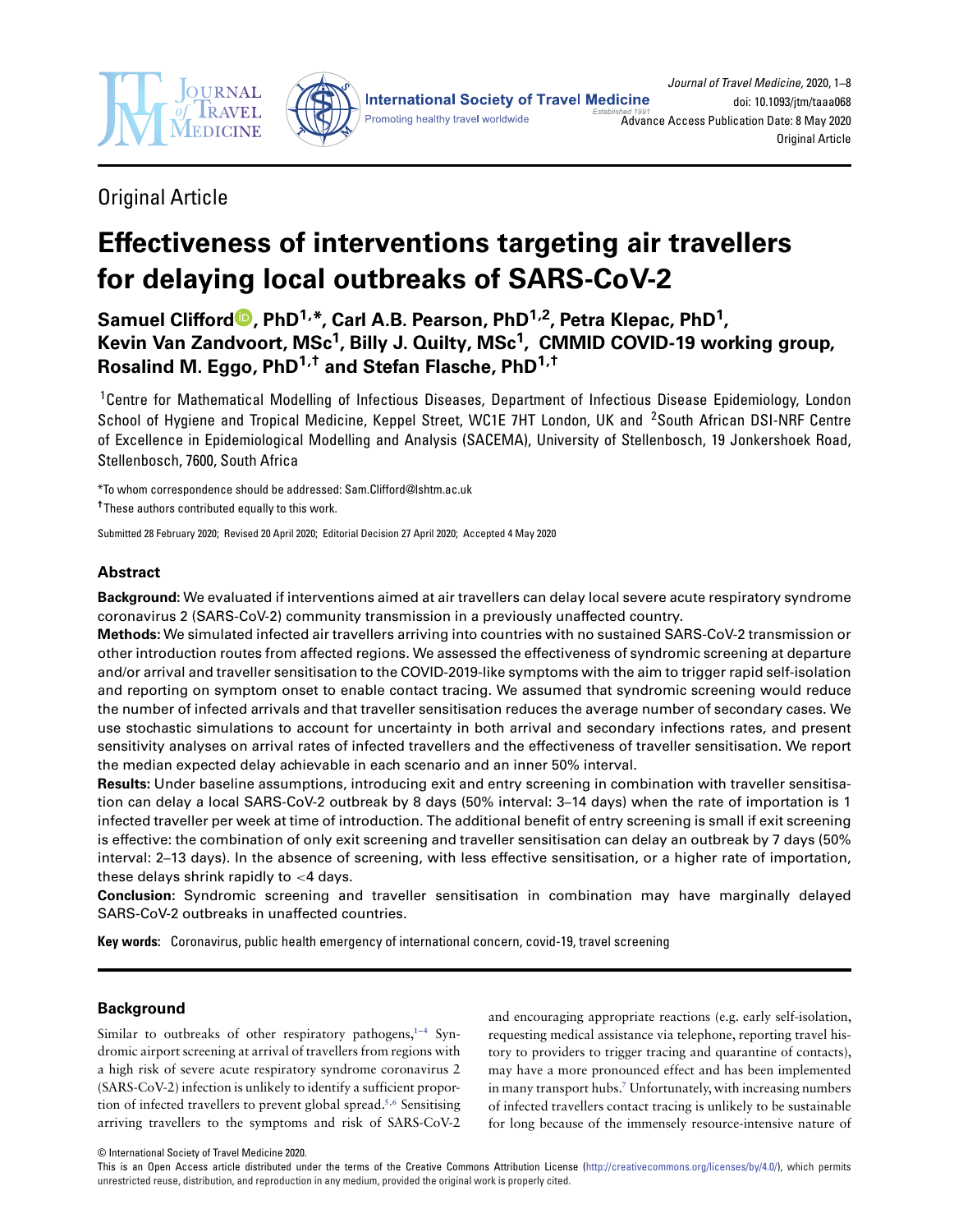



**Original Article** 

# **Effectiveness of interventions targeting air travellers for delaying local outbreaks of SARS-CoV-2**

Samuel Clifford<sup>1</sup>[,](http://orcid.org/0000-0002-3774-3882) PhD<sup>1,\*</sup>, Carl A.B. Pearson, PhD<sup>1,2</sup>, Petra Klepac, PhD<sup>1</sup>, **Kevin Van Zandvoort, MSc1, Billy J. Quilty, MSc1, CMMID COVID-19 working group, Rosalind M. Eggo, PhD1,† and Stefan Flasche, PhD1,†**

1Centre for Mathematical Modelling of Infectious Diseases, Department of Infectious Disease Epidemiology, London School of Hygiene and Tropical Medicine, Keppel Street, WC1E 7HT London, UK and 2South African DSI-NRF Centre of Excellence in Epidemiological Modelling and Analysis (SACEMA), University of Stellenbosch, 19 Jonkershoek Road, Stellenbosch, 7600, South Africa

\*To whom correspondence should be addressed: Sam.Clifford@lshtm.ac.uk

**†**These authors contributed equally to this work.

Submitted 28 February 2020; Revised 20 April 2020; Editorial Decision 27 April 2020; Accepted 4 May 2020

# **Abstract**

**Background:** We evaluated if interventions aimed at air travellers can delay local severe acute respiratory syndrome coronavirus 2 (SARS-CoV-2) community transmission in a previously unaffected country.

**Methods:** We simulated infected air travellers arriving into countries with no sustained SARS-CoV-2 transmission or other introduction routes from affected regions. We assessed the effectiveness of syndromic screening at departure and/or arrival and traveller sensitisation to the COVID-2019-like symptoms with the aim to trigger rapid self-isolation and reporting on symptom onset to enable contact tracing. We assumed that syndromic screening would reduce the number of infected arrivals and that traveller sensitisation reduces the average number of secondary cases. We use stochastic simulations to account for uncertainty in both arrival and secondary infections rates, and present sensitivity analyses on arrival rates of infected travellers and the effectiveness of traveller sensitisation. We report the median expected delay achievable in each scenario and an inner 50% interval.

**Results:** Under baseline assumptions, introducing exit and entry screening in combination with traveller sensitisation can delay a local SARS-CoV-2 outbreak by 8 days (50% interval: 3–14 days) when the rate of importation is 1 infected traveller per week at time of introduction. The additional benefit of entry screening is small if exit screening is effective: the combination of only exit screening and traveller sensitisation can delay an outbreak by 7 days (50% interval: 2–13 days). In the absence of screening, with less effective sensitisation, or a higher rate of importation, these delays shrink rapidly to *<*4 days.

**Conclusion:** Syndromic screening and traveller sensitisation in combination may have marginally delayed SARS-CoV-2 outbreaks in unaffected countries.

**Key words:** Coronavirus, public health emergency of international concern, covid-19, travel screening

# **Background**

Similar to outbreaks of other respiratory pathogens,**[1](#page-7-0)**–**[4](#page-7-1)** Syndromic airport screening at arrival of travellers from regions with a high risk of severe acute respiratory syndrome coronavirus 2 (SARS-CoV-2) infection is unlikely to identify a sufficient proportion of infected travellers to prevent global spread.**[5](#page-7-2)**,**[6](#page-7-3)** Sensitising arriving travellers to the symptoms and risk of SARS-CoV-2

and encouraging appropriate reactions (e.g. early self-isolation, requesting medical assistance via telephone, reporting travel history to providers to trigger tracing and quarantine of contacts), may have a more pronounced effect and has been implemented in many transport hubs.**[7](#page-7-4)** Unfortunately, with increasing numbers of infected travellers contact tracing is unlikely to be sustainable for long because of the immensely resource-intensive nature of

© International Society of Travel Medicine 2020.

This is an Open Access article distributed under the terms of the Creative Commons Attribution License [\(http://creativecommons.org/licenses/by/4.0/\)](http://creativecommons.org/licenses/by/4.0/), which permits unrestricted reuse, distribution, and reproduction in any medium, provided the original work is properly cited.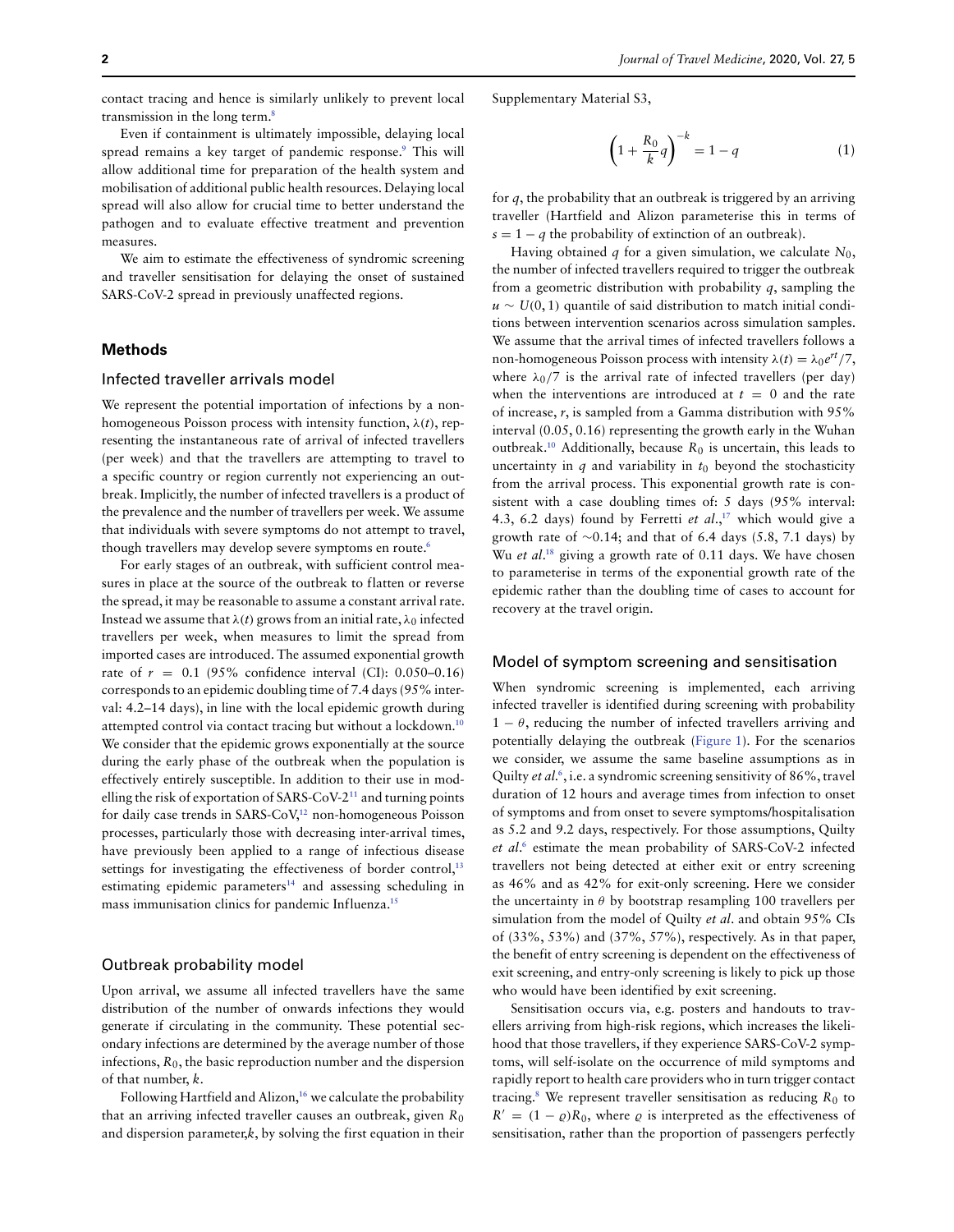contact tracing and hence is similarly unlikely to prevent local transmission in the long term.**[8](#page-7-5)**

Even if containment is ultimately impossible, delaying local spread remains a key target of pandemic response.**[9](#page-7-6)** This will allow additional time for preparation of the health system and mobilisation of additional public health resources. Delaying local spread will also allow for crucial time to better understand the pathogen and to evaluate effective treatment and prevention measures.

We aim to estimate the effectiveness of syndromic screening and traveller sensitisation for delaying the onset of sustained SARS-CoV-2 spread in previously unaffected regions.

# **Methods**

# Infected traveller arrivals model

We represent the potential importation of infections by a nonhomogeneous Poisson process with intensity function, *λ(*t*)*, representing the instantaneous rate of arrival of infected travellers (per week) and that the travellers are attempting to travel to a specific country or region currently not experiencing an outbreak. Implicitly, the number of infected travellers is a product of the prevalence and the number of travellers per week. We assume that individuals with severe symptoms do not attempt to travel, though travellers may develop severe symptoms en route.**[6](#page-7-3)**

For early stages of an outbreak, with sufficient control measures in place at the source of the outbreak to flatten or reverse the spread, it may be reasonable to assume a constant arrival rate. Instead we assume that  $\lambda(t)$  grows from an initial rate,  $\lambda_0$  infected travellers per week, when measures to limit the spread from imported cases are introduced. The assumed exponential growth rate of  $r = 0.1$  (95% confidence interval (CI): 0.050–0.16) corresponds to an epidemic doubling time of 7.4 days (95% interval: 4.2–14 days), in line with the local epidemic growth during attempted control via contact tracing but without a lockdown.**[10](#page-7-7)** We consider that the epidemic grows exponentially at the source during the early phase of the outbreak when the population is effectively entirely susceptible. In addition to their use in modelling the risk of exportation of SARS-CoV-2**[11](#page-7-8)** and turning points for daily case trends in SARS-CoV,**[12](#page-7-9)** non-homogeneous Poisson processes, particularly those with decreasing inter-arrival times, have previously been applied to a range of infectious disease settings for investigating the effectiveness of border control,**[13](#page-7-10)** estimating epidemic parameters**[14](#page-7-11)** and assessing scheduling in mass immunisation clinics for pandemic Influenza.**[15](#page-7-12)**

#### Outbreak probability model

Upon arrival, we assume all infected travellers have the same distribution of the number of onwards infections they would generate if circulating in the community. These potential secondary infections are determined by the average number of those infections,  $R_0$ , the basic reproduction number and the dispersion of that number, k.

Following Hartfield and Alizon,**[16](#page-7-13)** we calculate the probability that an arriving infected traveller causes an outbreak, given  $R_0$ and dispersion parameter, $k$ , by solving the first equation in their

Supplementary Material S3,

<span id="page-1-0"></span>
$$
\left(1 + \frac{R_0}{k}q\right)^{-k} = 1 - q \tag{1}
$$

for  $q$ , the probability that an outbreak is triggered by an arriving traveller (Hartfield and Alizon parameterise this in terms of  $s = 1 - a$  the probability of extinction of an outbreak).

Having obtained q for a given simulation, we calculate  $N_0$ , the number of infected travellers required to trigger the outbreak from a geometric distribution with probability  $q$ , sampling the u ∼ U*(*0, 1*)* quantile of said distribution to match initial conditions between intervention scenarios across simulation samples. We assume that the arrival times of infected travellers follows a non-homogeneous Poisson process with intensity  $\lambda(t) = \lambda_0 e^{rt}/7$ , where  $\lambda_0/7$  is the arrival rate of infected travellers (per day) when the interventions are introduced at  $t = 0$  and the rate of increase, r, is sampled from a Gamma distribution with 95% interval (0.05, 0.16) representing the growth early in the Wuhan outbreak.<sup>[10](#page-7-7)</sup> Additionally, because  $R_0$  is uncertain, this leads to uncertainty in  $q$  and variability in  $t_0$  beyond the stochasticity from the arrival process. This exponential growth rate is consistent with a case doubling times of: 5 days (95% interval: 4.3, 6.2 days) found by Ferretti et  $al^{17}$  $al^{17}$  $al^{17}$ , which would give a growth rate of  $\sim$ 0.14; and that of 6.4 days (5.8, 7.1 days) by Wu et al.<sup>[18](#page-7-15)</sup> giving a growth rate of 0.11 days. We have chosen to parameterise in terms of the exponential growth rate of the epidemic rather than the doubling time of cases to account for recovery at the travel origin.

## Model of symptom screening and sensitisation

When syndromic screening is implemented, each arriving infected traveller is identified during screening with probability  $1 - \theta$ , reducing the number of infected travellers arriving and potentially delaying the outbreak [\(Figure 1\)](#page-3-0). For the scenarios we consider, we assume the same baseline assumptions as in Quilty et al.**[6](#page-7-3)**, i.e. a syndromic screening sensitivity of 86%, travel duration of 12 hours and average times from infection to onset of symptoms and from onset to severe symptoms/hospitalisation as 5.2 and 9.2 days, respectively. For those assumptions, Quilty et al. **[6](#page-7-3)** estimate the mean probability of SARS-CoV-2 infected travellers not being detected at either exit or entry screening as 46% and as 42% for exit-only screening. Here we consider the uncertainty in  $\theta$  by bootstrap resampling 100 travellers per simulation from the model of Quilty et al. and obtain 95% CIs of (33%, 53%) and (37%, 57%), respectively. As in that paper, the benefit of entry screening is dependent on the effectiveness of exit screening, and entry-only screening is likely to pick up those who would have been identified by exit screening.

Sensitisation occurs via, e.g. posters and handouts to travellers arriving from high-risk regions, which increases the likelihood that those travellers, if they experience SARS-CoV-2 symptoms, will self-isolate on the occurrence of mild symptoms and rapidly report to health care providers who in turn trigger contact tracing.<sup>[8](#page-7-5)</sup> We represent traveller sensitisation as reducing  $R_0$  to  $R' = (1 - \rho)R_0$ , where  $\rho$  is interpreted as the effectiveness of sensitisation, rather than the proportion of passengers perfectly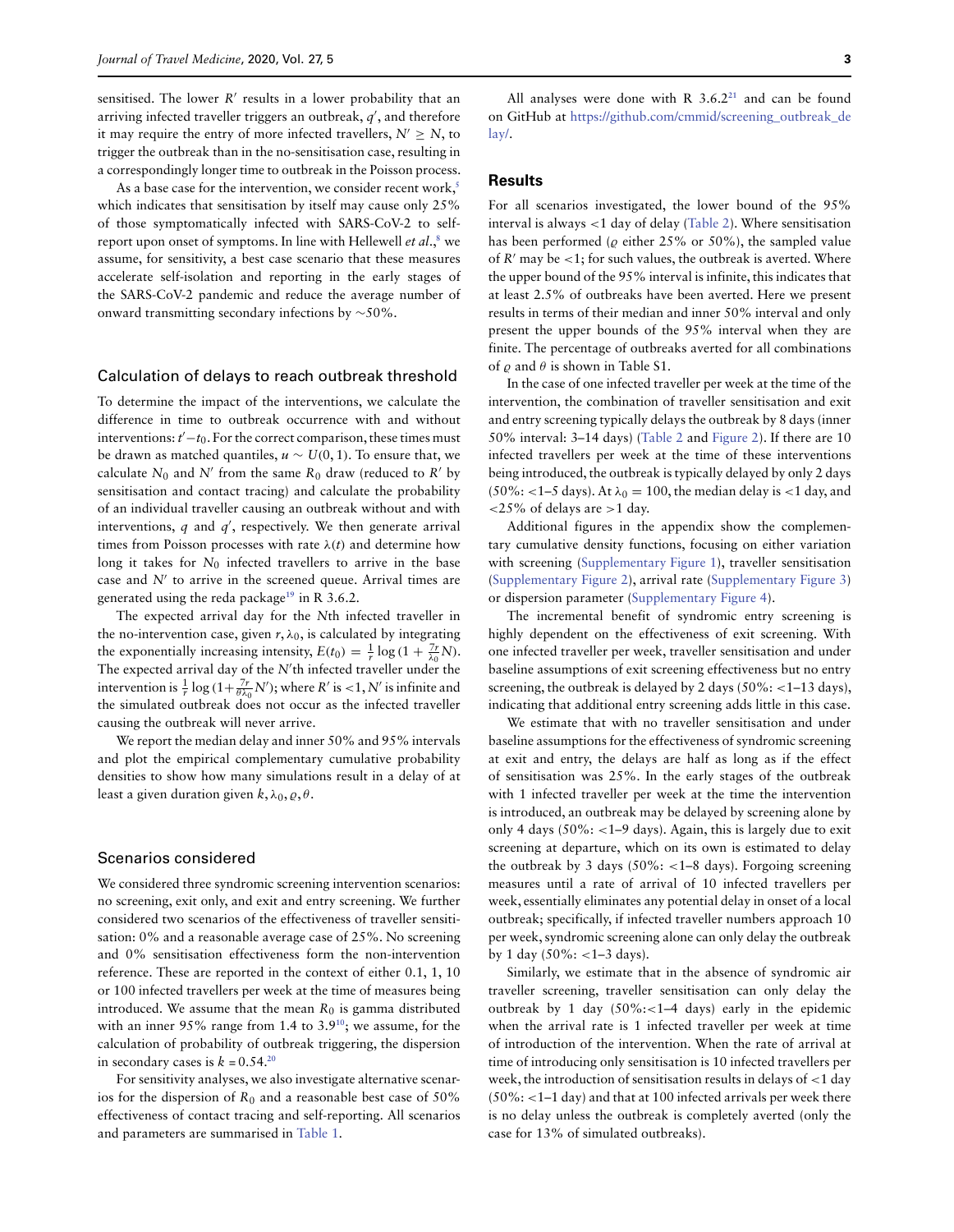sensitised. The lower  $R'$  results in a lower probability that an arriving infected traveller triggers an outbreak,  $q^{\prime}$ , and therefore it may require the entry of more infected travellers,  $N' \ge N$ , to trigger the outbreak than in the no-sensitisation case, resulting in a correspondingly longer time to outbreak in the Poisson process.

As a base case for the intervention, we consider recent work,**[5](#page-7-2)** which indicates that sensitisation by itself may cause only 25% of those symptomatically infected with SARS-CoV-2 to selfreport upon onset of symptoms. In line with Hellewell et al.,**[8](#page-7-5)** we assume, for sensitivity, a best case scenario that these measures accelerate self-isolation and reporting in the early stages of the SARS-CoV-2 pandemic and reduce the average number of onward transmitting secondary infections by ∼50%.

# Calculation of delays to reach outbreak threshold

To determine the impact of the interventions, we calculate the difference in time to outbreak occurrence with and without interventions:  $t'-t_0$ . For the correct comparison, these times must be drawn as matched quantiles, u ∼ U*(*0, 1*)*. To ensure that, we calculate  $N_0$  and N' from the same  $R_0$  draw (reduced to R' by sensitisation and contact tracing) and calculate the probability of an individual traveller causing an outbreak without and with interventions,  $q$  and  $q'$ , respectively. We then generate arrival times from Poisson processes with rate  $\lambda(t)$  and determine how long it takes for  $N_0$  infected travellers to arrive in the base case and  $N'$  to arrive in the screened queue. Arrival times are generated using the reda package**[19](#page-7-16)** in R 3.6.2.

The expected arrival day for the Nth infected traveller in the no-intervention case, given  $r, \lambda_0$ , is calculated by integrating the exponentially increasing intensity,  $E(t_0) = \frac{1}{r} \log (1 + \frac{7r}{\lambda_0} N)$ . The expected arrival day of the  $N'$ th infected traveller under the intervention is  $\frac{1}{r} \log \left(1 + \frac{7r}{\theta \lambda_0} N'\right)$ ; where *R'* is <1, *N'* is infinite and the simulated outbreak does not occur as the infected traveller causing the outbreak will never arrive.

We report the median delay and inner 50% and 95% intervals and plot the empirical complementary cumulative probability densities to show how many simulations result in a delay of at least a given duration given  $k, \lambda_0, \varrho, \theta$ .

#### Scenarios considered

We considered three syndromic screening intervention scenarios: no screening, exit only, and exit and entry screening. We further considered two scenarios of the effectiveness of traveller sensitisation: 0% and a reasonable average case of 25%. No screening and 0% sensitisation effectiveness form the non-intervention reference. These are reported in the context of either 0.1, 1, 10 or 100 infected travellers per week at the time of measures being introduced. We assume that the mean  $R_0$  is gamma distributed with an inner 95% range from 1.4 to 3.9**[10](#page-7-7)**; we assume, for the calculation of probability of outbreak triggering, the dispersion in secondary cases is  $k = 0.54$ <sup>[20](#page-7-17)</sup>

For sensitivity analyses, we also investigate alternative scenarios for the dispersion of  $R_0$  and a reasonable best case of 50% effectiveness of contact tracing and self-reporting. All scenarios and parameters are summarised in [Table 1.](#page-3-1)

All analyses were done with R  $3.6.2<sup>21</sup>$  $3.6.2<sup>21</sup>$  $3.6.2<sup>21</sup>$  and can be found on GitHub at [https://github.com/cmmid/screening\\_outbreak\\_de](https://github.com/cmmid/screening_outbreak_delay/) [lay/.](https://github.com/cmmid/screening_outbreak_delay/)

# **Results**

For all scenarios investigated, the lower bound of the 95% interval is always *<*1 day of delay [\(Table 2\)](#page-4-0). Where sensitisation has been performed ( $\rho$  either 25% or 50%), the sampled value of  $R'$  may be  $\lt 1$ ; for such values, the outbreak is averted. Where the upper bound of the 95% interval is infinite, this indicates that at least 2.5% of outbreaks have been averted. Here we present results in terms of their median and inner 50% interval and only present the upper bounds of the 95% interval when they are finite. The percentage of outbreaks averted for all combinations of  $\rho$  and  $\theta$  is shown in Table S1.

In the case of one infected traveller per week at the time of the intervention, the combination of traveller sensitisation and exit and entry screening typically delays the outbreak by 8 days (inner 50% interval: 3–14 days) [\(Table 2](#page-4-0) and [Figure 2\)](#page-5-0). If there are 10 infected travellers per week at the time of these interventions being introduced, the outbreak is typically delayed by only 2 days (50%: *<*1–5 days). At *λ*<sup>0</sup> = 100, the median delay is *<*1 day, and *<*25% of delays are *>*1 day.

Additional figures in the appendix show the complementary cumulative density functions, focusing on either variation with screening [\(Supplementary Figure 1\)](https://academic.oup.com/jtm/article-lookup/doi/10.1093/jtm/taaa068#supplementary-data), traveller sensitisation [\(Supplementary Figure 2\)](https://academic.oup.com/jtm/article-lookup/doi/10.1093/jtm/taaa068#supplementary-data), arrival rate [\(Supplementary Figure 3\)](https://academic.oup.com/jtm/article-lookup/doi/10.1093/jtm/taaa068#supplementary-data) or dispersion parameter [\(Supplementary Figure 4\)](https://academic.oup.com/jtm/article-lookup/doi/10.1093/jtm/taaa068#supplementary-data).

The incremental benefit of syndromic entry screening is highly dependent on the effectiveness of exit screening. With one infected traveller per week, traveller sensitisation and under baseline assumptions of exit screening effectiveness but no entry screening, the outbreak is delayed by 2 days (50%: *<*1–13 days), indicating that additional entry screening adds little in this case.

We estimate that with no traveller sensitisation and under baseline assumptions for the effectiveness of syndromic screening at exit and entry, the delays are half as long as if the effect of sensitisation was 25%. In the early stages of the outbreak with 1 infected traveller per week at the time the intervention is introduced, an outbreak may be delayed by screening alone by only 4 days (50%: *<*1–9 days). Again, this is largely due to exit screening at departure, which on its own is estimated to delay the outbreak by 3 days (50%: *<*1–8 days). Forgoing screening measures until a rate of arrival of 10 infected travellers per week, essentially eliminates any potential delay in onset of a local outbreak; specifically, if infected traveller numbers approach 10 per week, syndromic screening alone can only delay the outbreak by 1 day (50%: *<*1–3 days).

Similarly, we estimate that in the absence of syndromic air traveller screening, traveller sensitisation can only delay the outbreak by 1 day (50%:*<*1–4 days) early in the epidemic when the arrival rate is 1 infected traveller per week at time of introduction of the intervention. When the rate of arrival at time of introducing only sensitisation is 10 infected travellers per week, the introduction of sensitisation results in delays of *<*1 day (50%: *<*1–1 day) and that at 100 infected arrivals per week there is no delay unless the outbreak is completely averted (only the case for 13% of simulated outbreaks).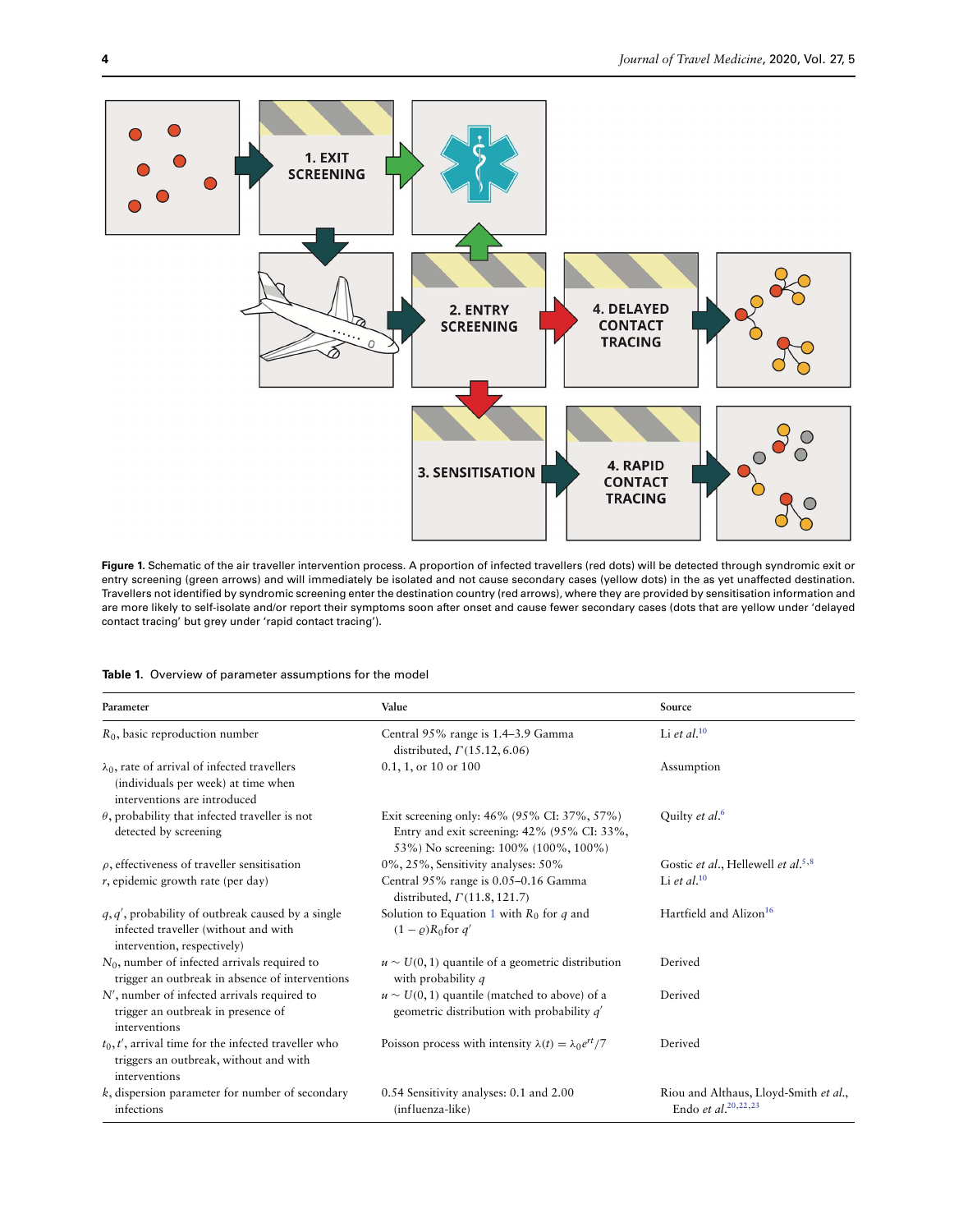

<span id="page-3-0"></span>Figure 1. Schematic of the air traveller intervention process. A proportion of infected travellers (red dots) will be detected through syndromic exit or entry screening (green arrows) and will immediately be isolated and not cause secondary cases (yellow dots) in the as yet unaffected destination. Travellers not identified by syndromic screening enter the destination country (red arrows), where they are provided by sensitisation information and are more likely to self-isolate and/or report their symptoms soon after onset and cause fewer secondary cases (dots that are yellow under 'delayed contact tracing' but grey under 'rapid contact tracing').

<span id="page-3-1"></span>

|  |  |  | Table 1. Overview of parameter assumptions for the model |  |  |
|--|--|--|----------------------------------------------------------|--|--|
|--|--|--|----------------------------------------------------------|--|--|

| Parameter                                                                                                                   | Value                                                                                                                              | Source                                                                     |
|-----------------------------------------------------------------------------------------------------------------------------|------------------------------------------------------------------------------------------------------------------------------------|----------------------------------------------------------------------------|
| $R_0$ , basic reproduction number                                                                                           | Central 95% range is 1.4–3.9 Gamma<br>distributed, $\Gamma(15.12, 6.06)$                                                           | Li et al. $10$                                                             |
| $\lambda_0$ , rate of arrival of infected travellers<br>(individuals per week) at time when<br>interventions are introduced | $0.1, 1,$ or $10$ or $100$                                                                                                         | Assumption                                                                 |
| $\theta$ , probability that infected traveller is not<br>detected by screening                                              | Exit screening only: 46% (95% CI: 37%, 57%)<br>Entry and exit screening: 42% (95% CI: 33%,<br>53%) No screening: 100% (100%, 100%) | Quilty et al. <sup>6</sup>                                                 |
| $\rho$ , effectiveness of traveller sensitisation                                                                           | 0%, 25%, Sensitivity analyses: 50%                                                                                                 | Gostic et al., Hellewell et al. <sup>5,8</sup>                             |
| $r$ , epidemic growth rate (per day)                                                                                        | Central 95% range is 0.05-0.16 Gamma<br>distributed, $\Gamma$ (11.8, 121.7)                                                        | Li et al. $10$                                                             |
| $q, q'$ , probability of outbreak caused by a single<br>infected traveller (without and with<br>intervention, respectively) | Solution to Equation 1 with $R_0$ for q and<br>$(1 - \rho)R_0$ for q'                                                              | Hartfield and Alizon <sup>16</sup>                                         |
| $N_0$ , number of infected arrivals required to<br>trigger an outbreak in absence of interventions                          | $u \sim U(0, 1)$ quantile of a geometric distribution<br>with probability q                                                        | Derived                                                                    |
| $N'$ , number of infected arrivals required to<br>trigger an outbreak in presence of<br>interventions                       | $u \sim U(0, 1)$ quantile (matched to above) of a<br>geometric distribution with probability $q'$                                  | Derived                                                                    |
| $t_0, t'$ , arrival time for the infected traveller who<br>triggers an outbreak, without and with<br>interventions          | Poisson process with intensity $\lambda(t) = \lambda_0 e^{rt}/7$                                                                   | Derived                                                                    |
| $k$ , dispersion parameter for number of secondary<br>infections                                                            | 0.54 Sensitivity analyses: 0.1 and 2.00<br>(influenza-like)                                                                        | Riou and Althaus, Lloyd-Smith et al.,<br>Endo <i>et al</i> , $^{20,22,23}$ |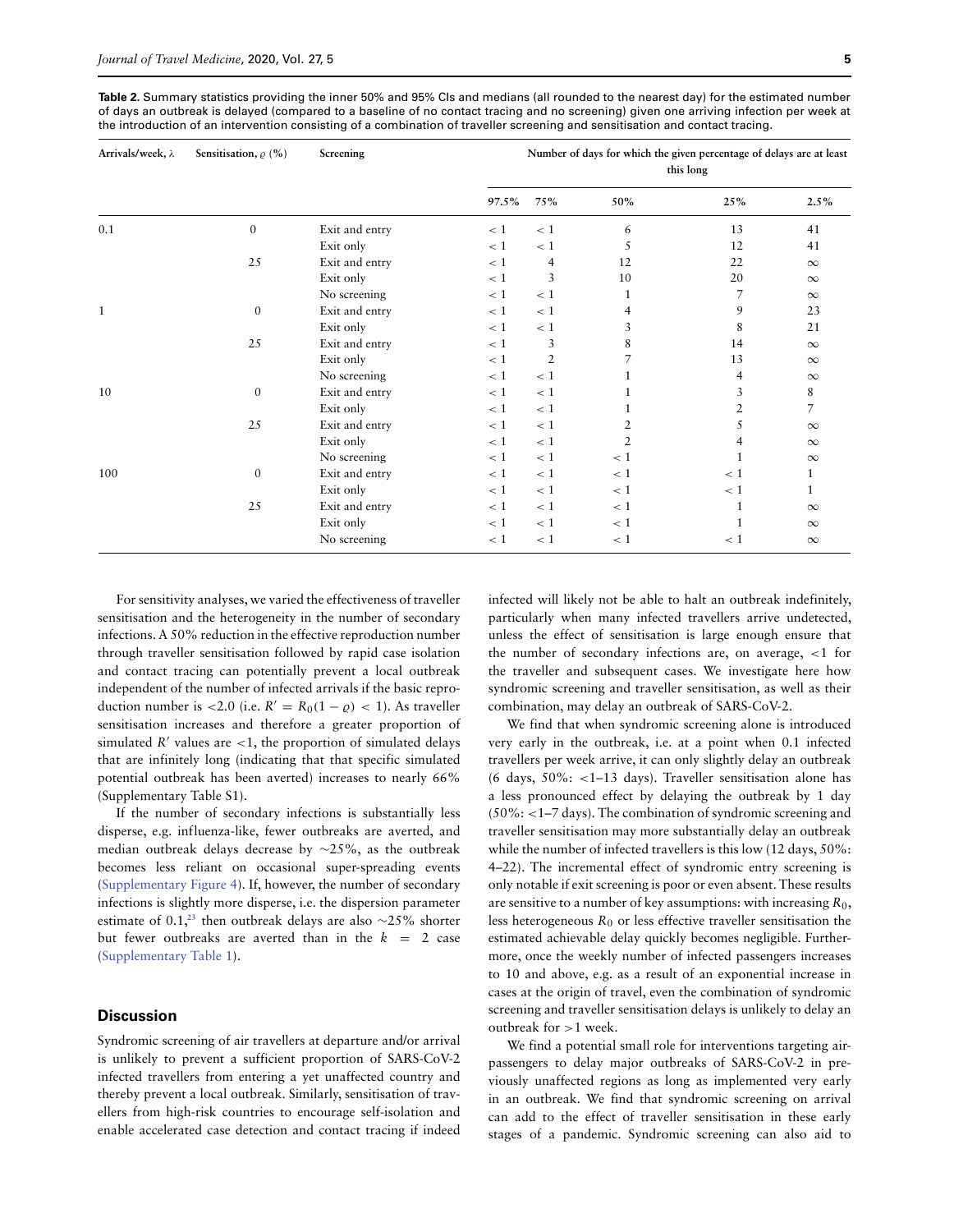<span id="page-4-0"></span>**Table 2.** Summary statistics providing the inner 50% and 95% CIs and medians (all rounded to the nearest day) for the estimated number of days an outbreak is delayed (compared to a baseline of no contact tracing and no screening) given one arriving infection per week at the introduction of an intervention consisting of a combination of traveller screening and sensitisation and contact tracing.

| Arrivals/week, λ | Sensitisation, $\rho$ (%) | Screening      | Number of days for which the given percentage of delays are at least<br>this long |                |                |              |                |
|------------------|---------------------------|----------------|-----------------------------------------------------------------------------------|----------------|----------------|--------------|----------------|
|                  |                           |                | 97.5%                                                                             | 75%            | 50%            | 25%          | $2.5\%$        |
| 0.1              | $\mathbf{0}$              | Exit and entry | < 1                                                                               | < 1            | 6              | 13           | 41             |
|                  |                           | Exit only      | < 1                                                                               | < 1            | 5              | 12           | 41             |
|                  | 25                        | Exit and entry | < 1                                                                               | 4              | 12             | 22           | $\infty$       |
|                  |                           | Exit only      | < 1                                                                               | 3              | 10             | 20           | $\infty$       |
|                  |                           | No screening   | < 1                                                                               | < 1            | 1              | 7            | $\infty$       |
| 1                | $\mathbf{0}$              | Exit and entry | < 1                                                                               | < 1            | 4              | 9            | 23             |
|                  |                           | Exit only      | < 1                                                                               | < 1            | 3              | 8            | 21             |
|                  | 25                        | Exit and entry | < 1                                                                               | 3              | 8              | 14           | $\infty$       |
|                  |                           | Exit only      | < 1                                                                               | $\overline{2}$ | 7              | 13           | $\infty$       |
|                  |                           | No screening   | $\lt 1$                                                                           | < 1            |                | 4            | $\infty$       |
| 10               | $\mathbf{0}$              | Exit and entry | < 1                                                                               | < 1            |                | 3            | 8              |
|                  |                           | Exit only      | < 1                                                                               | < 1            |                |              | $\overline{7}$ |
|                  | 25                        | Exit and entry | < 1                                                                               | < 1            | 2              | 5            | $\infty$       |
|                  |                           | Exit only      | < 1                                                                               | < 1            | $\overline{2}$ |              | $\infty$       |
|                  |                           | No screening   | < 1                                                                               | < 1            | $\lt 1$        |              | $\infty$       |
| 100              | $\mathbf{0}$              | Exit and entry | < 1                                                                               | < 1            | < 1            | < 1          | 1              |
|                  |                           | Exit only      | < 1                                                                               | < 1            | < 1            | < 1          | 1              |
|                  | 25                        | Exit and entry | < 1                                                                               | < 1            | < 1            | $\mathbf{1}$ | $\infty$       |
|                  |                           | Exit only      | < 1                                                                               | < 1            | < 1            |              | $\infty$       |
|                  |                           | No screening   | < 1                                                                               | < 1            | < 1            | < 1          | $\infty$       |

For sensitivity analyses, we varied the effectiveness of traveller sensitisation and the heterogeneity in the number of secondary infections. A 50% reduction in the effective reproduction number through traveller sensitisation followed by rapid case isolation and contact tracing can potentially prevent a local outbreak independent of the number of infected arrivals if the basic reproduction number is <2.0 (i.e.  $R' = R_0(1 - \varrho) < 1$ ). As traveller sensitisation increases and therefore a greater proportion of simulated  $R'$  values are  $\lt 1$ , the proportion of simulated delays that are infinitely long (indicating that that specific simulated potential outbreak has been averted) increases to nearly 66% (Supplementary Table S1).

If the number of secondary infections is substantially less disperse, e.g. influenza-like, fewer outbreaks are averted, and median outbreak delays decrease by ∼25%, as the outbreak becomes less reliant on occasional super-spreading events [\(Supplementary Figure 4\)](https://academic.oup.com/jtm/article-lookup/doi/10.1093/jtm/taaa068#supplementary-data). If, however, the number of secondary infections is slightly more disperse, i.e. the dispersion parameter estimate of 0.1,**[23](#page-7-20)** then outbreak delays are also ∼25% shorter but fewer outbreaks are averted than in the  $k = 2$  case [\(Supplementary Table 1\)](https://academic.oup.com/jtm/article-lookup/doi/10.1093/jtm/taaa068#supplementary-data).

# **Discussion**

Syndromic screening of air travellers at departure and/or arrival is unlikely to prevent a sufficient proportion of SARS-CoV-2 infected travellers from entering a yet unaffected country and thereby prevent a local outbreak. Similarly, sensitisation of travellers from high-risk countries to encourage self-isolation and enable accelerated case detection and contact tracing if indeed infected will likely not be able to halt an outbreak indefinitely, particularly when many infected travellers arrive undetected, unless the effect of sensitisation is large enough ensure that the number of secondary infections are, on average, *<*1 for the traveller and subsequent cases. We investigate here how syndromic screening and traveller sensitisation, as well as their combination, may delay an outbreak of SARS-CoV-2.

We find that when syndromic screening alone is introduced very early in the outbreak, i.e. at a point when 0.1 infected travellers per week arrive, it can only slightly delay an outbreak (6 days, 50%: *<*1–13 days). Traveller sensitisation alone has a less pronounced effect by delaying the outbreak by 1 day (50%: *<*1–7 days). The combination of syndromic screening and traveller sensitisation may more substantially delay an outbreak while the number of infected travellers is this low (12 days, 50%: 4–22). The incremental effect of syndromic entry screening is only notable if exit screening is poor or even absent. These results are sensitive to a number of key assumptions: with increasing  $R_0$ , less heterogeneous  $R_0$  or less effective traveller sensitisation the estimated achievable delay quickly becomes negligible. Furthermore, once the weekly number of infected passengers increases to 10 and above, e.g. as a result of an exponential increase in cases at the origin of travel, even the combination of syndromic screening and traveller sensitisation delays is unlikely to delay an outbreak for *>*1 week.

We find a potential small role for interventions targeting airpassengers to delay major outbreaks of SARS-CoV-2 in previously unaffected regions as long as implemented very early in an outbreak. We find that syndromic screening on arrival can add to the effect of traveller sensitisation in these early stages of a pandemic. Syndromic screening can also aid to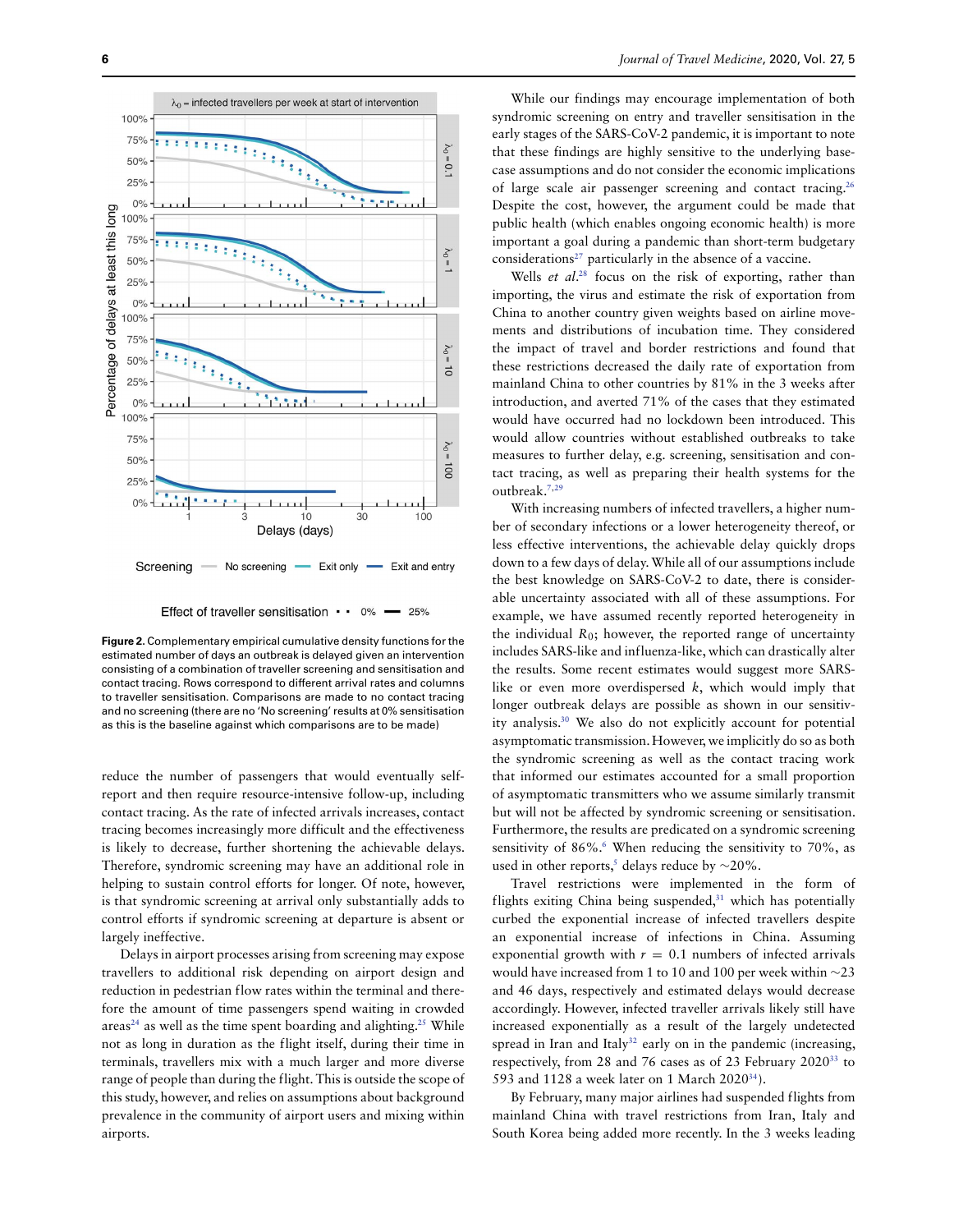

Effect of traveller sensitisation  $\cdot \cdot$  0%  $-25%$ 

<span id="page-5-0"></span>**Figure 2.** Complementary empirical cumulative density functions for the estimated number of days an outbreak is delayed given an intervention consisting of a combination of traveller screening and sensitisation and contact tracing. Rows correspond to different arrival rates and columns to traveller sensitisation. Comparisons are made to no contact tracing and no screening (there are no 'No screening' results at 0% sensitisation as this is the baseline against which comparisons are to be made)

reduce the number of passengers that would eventually selfreport and then require resource-intensive follow-up, including contact tracing. As the rate of infected arrivals increases, contact tracing becomes increasingly more difficult and the effectiveness is likely to decrease, further shortening the achievable delays. Therefore, syndromic screening may have an additional role in helping to sustain control efforts for longer. Of note, however, is that syndromic screening at arrival only substantially adds to control efforts if syndromic screening at departure is absent or largely ineffective.

Delays in airport processes arising from screening may expose travellers to additional risk depending on airport design and reduction in pedestrian flow rates within the terminal and therefore the amount of time passengers spend waiting in crowded areas**[24](#page-7-21)** as well as the time spent boarding and alighting.**[25](#page-7-22)** While not as long in duration as the flight itself, during their time in terminals, travellers mix with a much larger and more diverse range of people than during the flight. This is outside the scope of this study, however, and relies on assumptions about background prevalence in the community of airport users and mixing within airports.

While our findings may encourage implementation of both syndromic screening on entry and traveller sensitisation in the early stages of the SARS-CoV-2 pandemic, it is important to note that these findings are highly sensitive to the underlying basecase assumptions and do not consider the economic implications of large scale air passenger screening and contact tracing.**[26](#page-7-23)** Despite the cost, however, the argument could be made that public health (which enables ongoing economic health) is more important a goal during a pandemic than short-term budgetary considerations**[27](#page-7-24)** particularly in the absence of a vaccine.

Wells et al. **[28](#page-7-25)** focus on the risk of exporting, rather than importing, the virus and estimate the risk of exportation from China to another country given weights based on airline movements and distributions of incubation time. They considered the impact of travel and border restrictions and found that these restrictions decreased the daily rate of exportation from mainland China to other countries by 81% in the 3 weeks after introduction, and averted 71% of the cases that they estimated would have occurred had no lockdown been introduced. This would allow countries without established outbreaks to take measures to further delay, e.g. screening, sensitisation and contact tracing, as well as preparing their health systems for the outbreak.**[7](#page-7-4)**,**[29](#page-7-26)**

With increasing numbers of infected travellers, a higher number of secondary infections or a lower heterogeneity thereof, or less effective interventions, the achievable delay quickly drops down to a few days of delay.While all of our assumptions include the best knowledge on SARS-CoV-2 to date, there is considerable uncertainty associated with all of these assumptions. For example, we have assumed recently reported heterogeneity in the individual  $R_0$ ; however, the reported range of uncertainty includes SARS-like and influenza-like, which can drastically alter the results. Some recent estimates would suggest more SARSlike or even more overdispersed  $k$ , which would imply that longer outbreak delays are possible as shown in our sensitivity analysis.**[30](#page-7-27)** We also do not explicitly account for potential asymptomatic transmission. However, we implicitly do so as both the syndromic screening as well as the contact tracing work that informed our estimates accounted for a small proportion of asymptomatic transmitters who we assume similarly transmit but will not be affected by syndromic screening or sensitisation. Furthermore, the results are predicated on a syndromic screening sensitivity of 8[6](#page-7-3)%.<sup>6</sup> When reducing the sensitivity to 70%, as used in other reports,**[5](#page-7-2)** delays reduce by ∼20%.

Travel restrictions were implemented in the form of flights exiting China being suspended,**[31](#page-7-28)** which has potentially curbed the exponential increase of infected travellers despite an exponential increase of infections in China. Assuming exponential growth with  $r = 0.1$  numbers of infected arrivals would have increased from 1 to 10 and 100 per week within ∼23 and 46 days, respectively and estimated delays would decrease accordingly. However, infected traveller arrivals likely still have increased exponentially as a result of the largely undetected spread in Iran and Italy<sup>[32](#page-7-29)</sup> early on in the pandemic (increasing, respectively, from 28 and 76 cases as of 23 February 2020**[33](#page-7-30)** to 593 and 1128 a week later on 1 March 2020**[34](#page-7-31)**).

By February, many major airlines had suspended flights from mainland China with travel restrictions from Iran, Italy and South Korea being added more recently. In the 3 weeks leading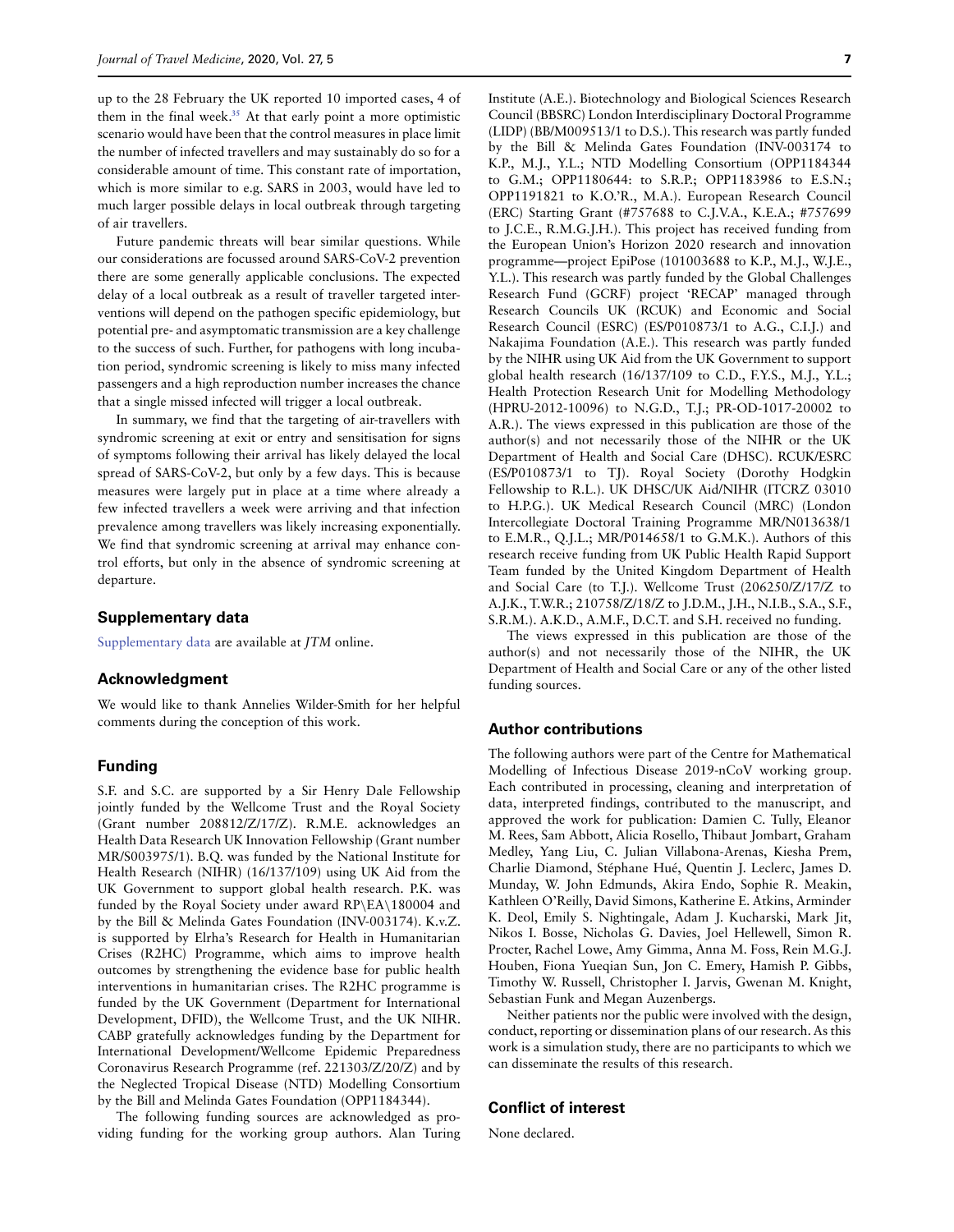up to the 28 February the UK reported 10 imported cases, 4 of them in the final week.**[35](#page-7-32)** At that early point a more optimistic scenario would have been that the control measures in place limit the number of infected travellers and may sustainably do so for a considerable amount of time. This constant rate of importation, which is more similar to e.g. SARS in 2003, would have led to much larger possible delays in local outbreak through targeting of air travellers.

Future pandemic threats will bear similar questions. While our considerations are focussed around SARS-CoV-2 prevention there are some generally applicable conclusions. The expected delay of a local outbreak as a result of traveller targeted interventions will depend on the pathogen specific epidemiology, but potential pre- and asymptomatic transmission are a key challenge to the success of such. Further, for pathogens with long incubation period, syndromic screening is likely to miss many infected passengers and a high reproduction number increases the chance that a single missed infected will trigger a local outbreak.

In summary, we find that the targeting of air-travellers with syndromic screening at exit or entry and sensitisation for signs of symptoms following their arrival has likely delayed the local spread of SARS-CoV-2, but only by a few days. This is because measures were largely put in place at a time where already a few infected travellers a week were arriving and that infection prevalence among travellers was likely increasing exponentially. We find that syndromic screening at arrival may enhance control efforts, but only in the absence of syndromic screening at departure.

#### **Supplementary data**

[Supplementary data](https://academic.oup.com/jtm/article-lookup/doi/10.1093/jtm/taaa068#supplementary-data) are available at JTM online.

#### **Acknowledgment**

We would like to thank Annelies Wilder-Smith for her helpful comments during the conception of this work.

#### **Funding**

S.F. and S.C. are supported by a Sir Henry Dale Fellowship jointly funded by the Wellcome Trust and the Royal Society (Grant number 208812/Z/17/Z). R.M.E. acknowledges an Health Data Research UK Innovation Fellowship (Grant number MR/S003975/1). B.Q. was funded by the National Institute for Health Research (NIHR) (16/137/109) using UK Aid from the UK Government to support global health research. P.K. was funded by the Royal Society under award RP\EA\180004 and by the Bill & Melinda Gates Foundation (INV-003174). K.v.Z. is supported by Elrha's Research for Health in Humanitarian Crises (R2HC) Programme, which aims to improve health outcomes by strengthening the evidence base for public health interventions in humanitarian crises. The R2HC programme is funded by the UK Government (Department for International Development, DFID), the Wellcome Trust, and the UK NIHR. CABP gratefully acknowledges funding by the Department for International Development/Wellcome Epidemic Preparedness Coronavirus Research Programme (ref. 221303/Z/20/Z) and by the Neglected Tropical Disease (NTD) Modelling Consortium by the Bill and Melinda Gates Foundation (OPP1184344).

The following funding sources are acknowledged as providing funding for the working group authors. Alan Turing Institute (A.E.). Biotechnology and Biological Sciences Research Council (BBSRC) London Interdisciplinary Doctoral Programme (LIDP) (BB/M009513/1 to D.S.). This research was partly funded by the Bill & Melinda Gates Foundation (INV-003174 to K.P., M.J., Y.L.; NTD Modelling Consortium (OPP1184344 to G.M.; OPP1180644: to S.R.P.; OPP1183986 to E.S.N.; OPP1191821 to K.O.'R., M.A.). European Research Council (ERC) Starting Grant (#757688 to C.J.V.A., K.E.A.; #757699 to J.C.E., R.M.G.J.H.). This project has received funding from the European Union's Horizon 2020 research and innovation programme—project EpiPose (101003688 to K.P., M.J., W.J.E., Y.L.). This research was partly funded by the Global Challenges Research Fund (GCRF) project 'RECAP' managed through Research Councils UK (RCUK) and Economic and Social Research Council (ESRC) (ES/P010873/1 to A.G., C.I.J.) and Nakajima Foundation (A.E.). This research was partly funded by the NIHR using UK Aid from the UK Government to support global health research (16/137/109 to C.D., F.Y.S., M.J., Y.L.; Health Protection Research Unit for Modelling Methodology (HPRU-2012-10096) to N.G.D., T.J.; PR-OD-1017-20002 to A.R.). The views expressed in this publication are those of the author(s) and not necessarily those of the NIHR or the UK Department of Health and Social Care (DHSC). RCUK/ESRC (ES/P010873/1 to TJ). Royal Society (Dorothy Hodgkin Fellowship to R.L.). UK DHSC/UK Aid/NIHR (ITCRZ 03010 to H.P.G.). UK Medical Research Council (MRC) (London Intercollegiate Doctoral Training Programme MR/N013638/1 to E.M.R., Q.J.L.; MR/P014658/1 to G.M.K.). Authors of this research receive funding from UK Public Health Rapid Support Team funded by the United Kingdom Department of Health and Social Care (to T.J.). Wellcome Trust (206250/Z/17/Z to A.J.K., T.W.R.; 210758/Z/18/Z to J.D.M., J.H., N.I.B., S.A., S.F., S.R.M.). A.K.D., A.M.F., D.C.T. and S.H. received no funding.

The views expressed in this publication are those of the author(s) and not necessarily those of the NIHR, the UK Department of Health and Social Care or any of the other listed funding sources.

#### **Author contributions**

The following authors were part of the Centre for Mathematical Modelling of Infectious Disease 2019-nCoV working group. Each contributed in processing, cleaning and interpretation of data, interpreted findings, contributed to the manuscript, and approved the work for publication: Damien C. Tully, Eleanor M. Rees, Sam Abbott, Alicia Rosello, Thibaut Jombart, Graham Medley, Yang Liu, C. Julian Villabona-Arenas, Kiesha Prem, Charlie Diamond, Stéphane Hué, Quentin J. Leclerc, James D. Munday, W. John Edmunds, Akira Endo, Sophie R. Meakin, Kathleen O'Reilly, David Simons, Katherine E. Atkins, Arminder K. Deol, Emily S. Nightingale, Adam J. Kucharski, Mark Jit, Nikos I. Bosse, Nicholas G. Davies, Joel Hellewell, Simon R. Procter, Rachel Lowe, Amy Gimma, Anna M. Foss, Rein M.G.J. Houben, Fiona Yueqian Sun, Jon C. Emery, Hamish P. Gibbs, Timothy W. Russell, Christopher I. Jarvis, Gwenan M. Knight, Sebastian Funk and Megan Auzenbergs.

Neither patients nor the public were involved with the design, conduct, reporting or dissemination plans of our research. As this work is a simulation study, there are no participants to which we can disseminate the results of this research.

# **Conflict of interest**

None declared.